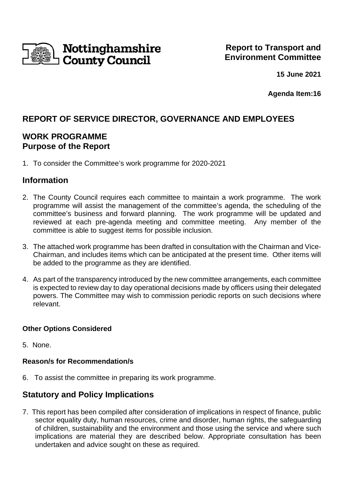

**15 June 2021**

 **Agenda Item:16**

# **REPORT OF SERVICE DIRECTOR, GOVERNANCE AND EMPLOYEES**

## **WORK PROGRAMME Purpose of the Report**

1. To consider the Committee's work programme for 2020-2021

## **Information**

- 2. The County Council requires each committee to maintain a work programme. The work programme will assist the management of the committee's agenda, the scheduling of the committee's business and forward planning. The work programme will be updated and reviewed at each pre-agenda meeting and committee meeting. Any member of the committee is able to suggest items for possible inclusion.
- 3. The attached work programme has been drafted in consultation with the Chairman and Vice-Chairman, and includes items which can be anticipated at the present time. Other items will be added to the programme as they are identified.
- 4. As part of the transparency introduced by the new committee arrangements, each committee is expected to review day to day operational decisions made by officers using their delegated powers. The Committee may wish to commission periodic reports on such decisions where relevant.

### **Other Options Considered**

5. None.

### **Reason/s for Recommendation/s**

6. To assist the committee in preparing its work programme.

## **Statutory and Policy Implications**

7. This report has been compiled after consideration of implications in respect of finance, public sector equality duty, human resources, crime and disorder, human rights, the safeguarding of children, sustainability and the environment and those using the service and where such implications are material they are described below. Appropriate consultation has been undertaken and advice sought on these as required.